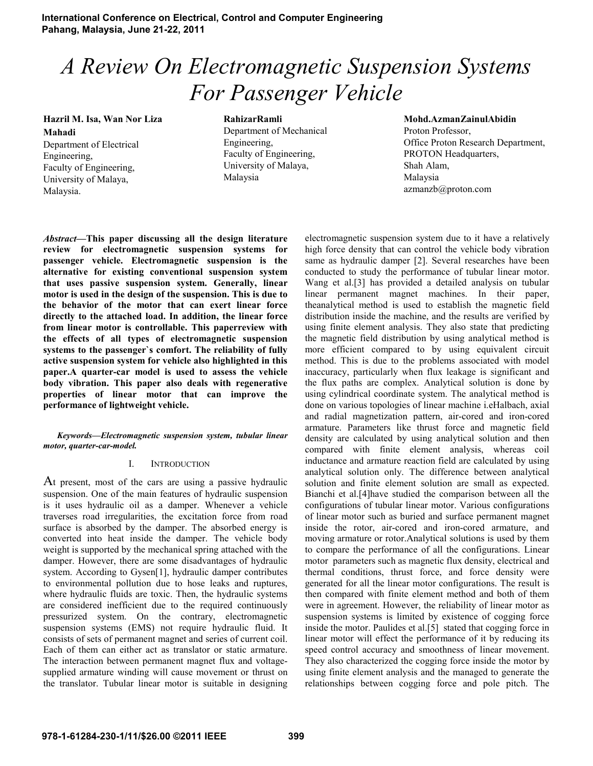**International Conference on Electrical, Control and Computer Engineering Pahang, Malaysia, June 21-22, 2011**

# *A Review On Electromagnetic Suspension Systems For Passenger Vehicle*

**Hazril M. Isa, Wan Nor Liza Mahadi**  Department of Electrical Engineering, Faculty of Engineering,

University of Malaya,

Malaysia.

**RahizarRamli** 

Department of Mechanical Engineering, Faculty of Engineering, University of Malaya, Malaysia

**Mohd.AzmanZainulAbidin**  Proton Professor,

Office Proton Research Department, PROTON Headquarters, Shah Alam, Malaysia azmanzb@proton.com

*Abstract***—This paper discussing all the design literature review for electromagnetic suspension systems for passenger vehicle. Electromagnetic suspension is the alternative for existing conventional suspension system that uses passive suspension system. Generally, linear motor is used in the design of the suspension. This is due to the behavior of the motor that can exert linear force directly to the attached load. In addition, the linear force from linear motor is controllable. This paperreview with the effects of all types of electromagnetic suspension systems to the passenger`s comfort. The reliability of fully active suspension system for vehicle also highlighted in this paper.A quarter-car model is used to assess the vehicle body vibration. This paper also deals with regenerative properties of linear motor that can improve the performance of lightweight vehicle.** 

*Keywords—Electromagnetic suspension system, tubular linear motor, quarter-car-model.* 

#### I. INTRODUCTION

At present, most of the cars are using a passive hydraulic suspension. One of the main features of hydraulic suspension is it uses hydraulic oil as a damper. Whenever a vehicle traverses road irregularities, the excitation force from road surface is absorbed by the damper. The absorbed energy is converted into heat inside the damper. The vehicle body weight is supported by the mechanical spring attached with the damper. However, there are some disadvantages of hydraulic system. According to Gysen[1], hydraulic damper contributes to environmental pollution due to hose leaks and ruptures, where hydraulic fluids are toxic. Then, the hydraulic systems are considered inefficient due to the required continuously pressurized system. On the contrary, electromagnetic suspension systems (EMS) not require hydraulic fluid. It consists of sets of permanent magnet and series of current coil. Each of them can either act as translator or static armature. The interaction between permanent magnet flux and voltagesupplied armature winding will cause movement or thrust on the translator. Tubular linear motor is suitable in designing electromagnetic suspension system due to it have a relatively high force density that can control the vehicle body vibration same as hydraulic damper [2]. Several researches have been conducted to study the performance of tubular linear motor. Wang et al.[3] has provided a detailed analysis on tubular linear permanent magnet machines. In their paper, theanalytical method is used to establish the magnetic field distribution inside the machine, and the results are verified by using finite element analysis. They also state that predicting the magnetic field distribution by using analytical method is more efficient compared to by using equivalent circuit method. This is due to the problems associated with model inaccuracy, particularly when flux leakage is significant and the flux paths are complex. Analytical solution is done by using cylindrical coordinate system. The analytical method is done on various topologies of linear machine i.eHalbach, axial and radial magnetization pattern, air-cored and iron-cored armature. Parameters like thrust force and magnetic field density are calculated by using analytical solution and then compared with finite element analysis, whereas coil inductance and armature reaction field are calculated by using analytical solution only. The difference between analytical solution and finite element solution are small as expected. Bianchi et al.[4]have studied the comparison between all the configurations of tubular linear motor. Various configurations of linear motor such as buried and surface permanent magnet inside the rotor, air-cored and iron-cored armature, and moving armature or rotor.Analytical solutions is used by them to compare the performance of all the configurations. Linear motor parameters such as magnetic flux density, electrical and thermal conditions, thrust force, and force density were generated for all the linear motor configurations. The result is then compared with finite element method and both of them were in agreement. However, the reliability of linear motor as suspension systems is limited by existence of cogging force inside the motor. Paulides et al.[5] stated that cogging force in linear motor will effect the performance of it by reducing its speed control accuracy and smoothness of linear movement. They also characterized the cogging force inside the motor by using finite element analysis and the managed to generate the relationships between cogging force and pole pitch. The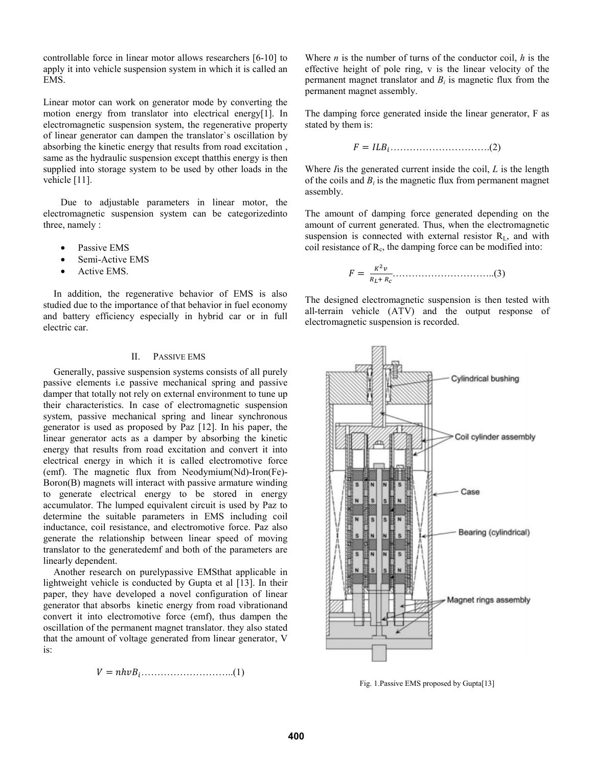controllable force in linear motor allows researchers [6-10] to apply it into vehicle suspension system in which it is called an EMS.

Linear motor can work on generator mode by converting the motion energy from translator into electrical energy[1]. In electromagnetic suspension system, the regenerative property of linear generator can dampen the translator`s oscillation by absorbing the kinetic energy that results from road excitation , same as the hydraulic suspension except thatthis energy is then supplied into storage system to be used by other loads in the vehicle [11].

Due to adjustable parameters in linear motor, the electromagnetic suspension system can be categorizedinto three, namely :

- Passive EMS
- Semi-Active EMS
- Active EMS.

In addition, the regenerative behavior of EMS is also studied due to the importance of that behavior in fuel economy and battery efficiency especially in hybrid car or in full electric car.

# II. PASSIVE EMS

Generally, passive suspension systems consists of all purely passive elements i.e passive mechanical spring and passive damper that totally not rely on external environment to tune up their characteristics. In case of electromagnetic suspension system, passive mechanical spring and linear synchronous generator is used as proposed by Paz [12]. In his paper, the linear generator acts as a damper by absorbing the kinetic energy that results from road excitation and convert it into electrical energy in which it is called electromotive force (emf). The magnetic flux from Neodymium(Nd)-Iron(Fe)- Boron(B) magnets will interact with passive armature winding to generate electrical energy to be stored in energy accumulator. The lumped equivalent circuit is used by Paz to determine the suitable parameters in EMS including coil inductance, coil resistance, and electromotive force. Paz also generate the relationship between linear speed of moving translator to the generatedemf and both of the parameters are linearly dependent.

Another research on purelypassive EMSthat applicable in lightweight vehicle is conducted by Gupta et al [13]. In their paper, they have developed a novel configuration of linear generator that absorbs kinetic energy from road vibrationand convert it into electromotive force (emf), thus dampen the oscillation of the permanent magnet translator. they also stated that the amount of voltage generated from linear generator, V is:

(1).............................ܤݒ݄݊ ൌ ܸ

Where  $n$  is the number of turns of the conductor coil,  $h$  is the effective height of pole ring, v is the linear velocity of the permanent magnet translator and  $B_i$  is magnetic flux from the permanent magnet assembly.

The damping force generated inside the linear generator, F as stated by them is:

$$
F = ILBi.................(2)
$$

Where *I*is the generated current inside the coil, *L* is the length of the coils and  $B_i$  is the magnetic flux from permanent magnet assembly.

The amount of damping force generated depending on the amount of current generated. Thus, when the electromagnetic suspension is connected with external resistor  $R_L$ , and with coil resistance of  $R_c$ , the damping force can be modified into:

$$
F = \frac{\kappa^2 v}{R_L + R_c} \tag{3}
$$

The designed electromagnetic suspension is then tested with all-terrain vehicle (ATV) and the output response of electromagnetic suspension is recorded.



Fig. 1.Passive EMS proposed by Gupta[13]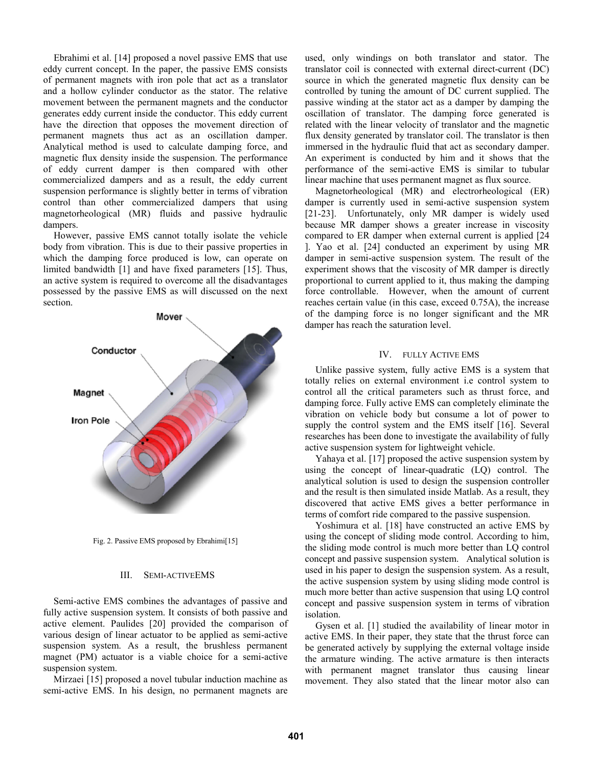Ebrahimi et al. [14] proposed a novel passive EMS that use eddy current concept. In the paper, the passive EMS consists of permanent magnets with iron pole that act as a translator and a hollow cylinder conductor as the stator. The relative movement between the permanent magnets and the conductor generates eddy current inside the conductor. This eddy current have the direction that opposes the movement direction of permanent magnets thus act as an oscillation damper. Analytical method is used to calculate damping force, and magnetic flux density inside the suspension. The performance of eddy current damper is then compared with other commercialized dampers and as a result, the eddy current suspension performance is slightly better in terms of vibration control than other commercialized dampers that using magnetorheological (MR) fluids and passive hydraulic dampers.

However, passive EMS cannot totally isolate the vehicle body from vibration. This is due to their passive properties in which the damping force produced is low, can operate on limited bandwidth [1] and have fixed parameters [15]. Thus, an active system is required to overcome all the disadvantages possessed by the passive EMS as will discussed on the next section.



Fig. 2. Passive EMS proposed by Ebrahimi[15]

# III. SEMI-ACTIVEEMS

Semi-active EMS combines the advantages of passive and fully active suspension system. It consists of both passive and active element. Paulides [20] provided the comparison of various design of linear actuator to be applied as semi-active suspension system. As a result, the brushless permanent magnet (PM) actuator is a viable choice for a semi-active suspension system.

Mirzaei [15] proposed a novel tubular induction machine as semi-active EMS. In his design, no permanent magnets are used, only windings on both translator and stator. The translator coil is connected with external direct-current (DC) source in which the generated magnetic flux density can be controlled by tuning the amount of DC current supplied. The passive winding at the stator act as a damper by damping the oscillation of translator. The damping force generated is related with the linear velocity of translator and the magnetic flux density generated by translator coil. The translator is then immersed in the hydraulic fluid that act as secondary damper. An experiment is conducted by him and it shows that the performance of the semi-active EMS is similar to tubular linear machine that uses permanent magnet as flux source.

Magnetorheological (MR) and electrorheological (ER) damper is currently used in semi-active suspension system [21-23]. Unfortunately, only MR damper is widely used because MR damper shows a greater increase in viscosity compared to ER damper when external current is applied [24 ]. Yao et al. [24] conducted an experiment by using MR damper in semi-active suspension system. The result of the experiment shows that the viscosity of MR damper is directly proportional to current applied to it, thus making the damping force controllable. However, when the amount of current reaches certain value (in this case, exceed 0.75A), the increase of the damping force is no longer significant and the MR damper has reach the saturation level.

# IV. FULLY ACTIVE EMS

Unlike passive system, fully active EMS is a system that totally relies on external environment i.e control system to control all the critical parameters such as thrust force, and damping force. Fully active EMS can completely eliminate the vibration on vehicle body but consume a lot of power to supply the control system and the EMS itself [16]. Several researches has been done to investigate the availability of fully active suspension system for lightweight vehicle.

Yahaya et al. [17] proposed the active suspension system by using the concept of linear-quadratic (LQ) control. The analytical solution is used to design the suspension controller and the result is then simulated inside Matlab. As a result, they discovered that active EMS gives a better performance in terms of comfort ride compared to the passive suspension.

Yoshimura et al. [18] have constructed an active EMS by using the concept of sliding mode control. According to him, the sliding mode control is much more better than LQ control concept and passive suspension system. Analytical solution is used in his paper to design the suspension system. As a result, the active suspension system by using sliding mode control is much more better than active suspension that using LQ control concept and passive suspension system in terms of vibration isolation.

Gysen et al. [1] studied the availability of linear motor in active EMS. In their paper, they state that the thrust force can be generated actively by supplying the external voltage inside the armature winding. The active armature is then interacts with permanent magnet translator thus causing linear movement. They also stated that the linear motor also can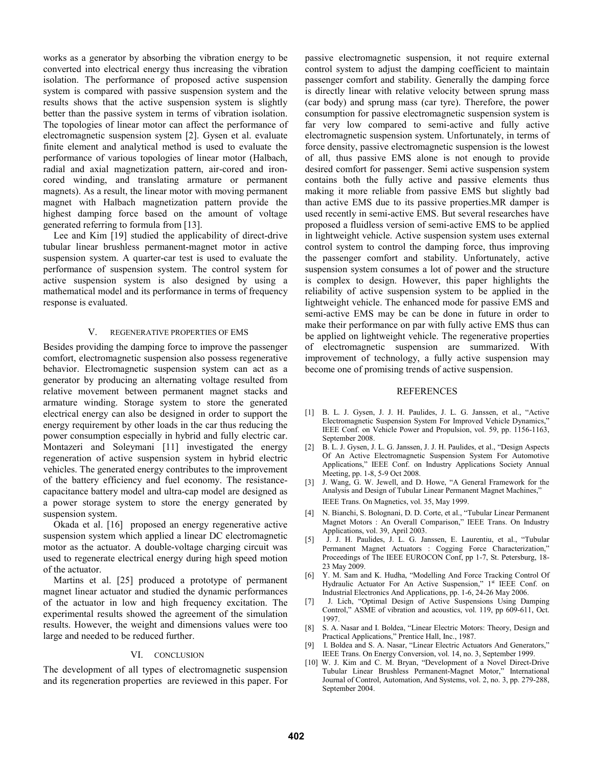works as a generator by absorbing the vibration energy to be converted into electrical energy thus increasing the vibration isolation. The performance of proposed active suspension system is compared with passive suspension system and the results shows that the active suspension system is slightly better than the passive system in terms of vibration isolation. The topologies of linear motor can affect the performance of electromagnetic suspension system [2]. Gysen et al. evaluate finite element and analytical method is used to evaluate the performance of various topologies of linear motor (Halbach, radial and axial magnetization pattern, air-cored and ironcored winding, and translating armature or permanent magnets). As a result, the linear motor with moving permanent magnet with Halbach magnetization pattern provide the highest damping force based on the amount of voltage generated referring to formula from [13].

Lee and Kim [19] studied the applicability of direct-drive tubular linear brushless permanent-magnet motor in active suspension system. A quarter-car test is used to evaluate the performance of suspension system. The control system for active suspension system is also designed by using a mathematical model and its performance in terms of frequency response is evaluated.

#### V. REGENERATIVE PROPERTIES OF EMS

Besides providing the damping force to improve the passenger comfort, electromagnetic suspension also possess regenerative behavior. Electromagnetic suspension system can act as a generator by producing an alternating voltage resulted from relative movement between permanent magnet stacks and armature winding. Storage system to store the generated electrical energy can also be designed in order to support the energy requirement by other loads in the car thus reducing the power consumption especially in hybrid and fully electric car. Montazeri and Soleymani [11] investigated the energy regeneration of active suspension system in hybrid electric vehicles. The generated energy contributes to the improvement of the battery efficiency and fuel economy. The resistancecapacitance battery model and ultra-cap model are designed as a power storage system to store the energy generated by suspension system.

Okada et al. [16] proposed an energy regenerative active suspension system which applied a linear DC electromagnetic motor as the actuator. A double-voltage charging circuit was used to regenerate electrical energy during high speed motion of the actuator.

Martins et al. [25] produced a prototype of permanent magnet linear actuator and studied the dynamic performances of the actuator in low and high frequency excitation. The experimental results showed the agreement of the simulation results. However, the weight and dimensions values were too large and needed to be reduced further.

## VI. CONCLUSION

The development of all types of electromagnetic suspension and its regeneration properties are reviewed in this paper. For passive electromagnetic suspension, it not require external control system to adjust the damping coefficient to maintain passenger comfort and stability. Generally the damping force is directly linear with relative velocity between sprung mass (car body) and sprung mass (car tyre). Therefore, the power consumption for passive electromagnetic suspension system is far very low compared to semi-active and fully active electromagnetic suspension system. Unfortunately, in terms of force density, passive electromagnetic suspension is the lowest of all, thus passive EMS alone is not enough to provide desired comfort for passenger. Semi active suspension system contains both the fully active and passive elements thus making it more reliable from passive EMS but slightly bad than active EMS due to its passive properties.MR damper is used recently in semi-active EMS. But several researches have proposed a fluidless version of semi-active EMS to be applied in lightweight vehicle. Active suspension system uses external control system to control the damping force, thus improving the passenger comfort and stability. Unfortunately, active suspension system consumes a lot of power and the structure is complex to design. However, this paper highlights the reliability of active suspension system to be applied in the lightweight vehicle. The enhanced mode for passive EMS and semi-active EMS may be can be done in future in order to make their performance on par with fully active EMS thus can be applied on lightweight vehicle. The regenerative properties of electromagnetic suspension are summarized. With improvement of technology, a fully active suspension may become one of promising trends of active suspension.

## REFERENCES

- [1] B. L. J. Gysen, J. J. H. Paulides, J. L. G. Janssen, et al., "Active Electromagnetic Suspension System For Improved Vehicle Dynamics," IEEE Conf. on Vehicle Power and Propulsion, vol. 59, pp. 1156-1163, September 2008.
- [2] B. L. J. Gysen, J. L. G. Janssen, J. J. H. Paulides, et al., "Design Aspects Of An Active Electromagnetic Suspension System For Automotive Applications," IEEE Conf. on Industry Applications Society Annual Meeting, pp. 1-8, 5-9 Oct 2008.
- [3] J. Wang, G. W. Jewell, and D. Howe, "A General Framework for the Analysis and Design of Tubular Linear Permanent Magnet Machines," IEEE Trans. On Magnetics, vol. 35, May 1999.
- [4] N. Bianchi, S. Bolognani, D. D. Corte, et al., "Tubular Linear Permanent Magnet Motors : An Overall Comparison," IEEE Trans. On Industry Applications, vol. 39, April 2003.
- [5] J. J. H. Paulides, J. L. G. Janssen, E. Laurentiu, et al., "Tubular Permanent Magnet Actuators : Cogging Force Characterization," Proceedings of The IEEE EUROCON Conf, pp 1-7, St. Petersburg, 18- 23 May 2009.
- [6] Y. M. Sam and K. Hudha, "Modelling And Force Tracking Control Of Hydraulic Actuator For An Active Suspension," 1st IEEE Conf. on Industrial Electronics And Applications, pp. 1-6, 24-26 May 2006.
- [7] J. Lich, "Optimal Design of Active Suspensions Using Damping Control," ASME of vibration and acoustics, vol. 119, pp 609-611, Oct. 1997.
- [8] S. A. Nasar and I. Boldea, "Linear Electric Motors: Theory, Design and Practical Applications," Prentice Hall, Inc., 1987.
- [9] I. Boldea and S. A. Nasar, "Linear Electric Actuators And Generators," IEEE Trans. On Energy Conversion, vol. 14, no. 3, September 1999.
- [10] W. J. Kim and C. M. Bryan, "Development of a Novel Direct-Drive Tubular Linear Brushless Permanent-Magnet Motor," International Journal of Control, Automation, And Systems, vol. 2, no. 3, pp. 279-288, September 2004.